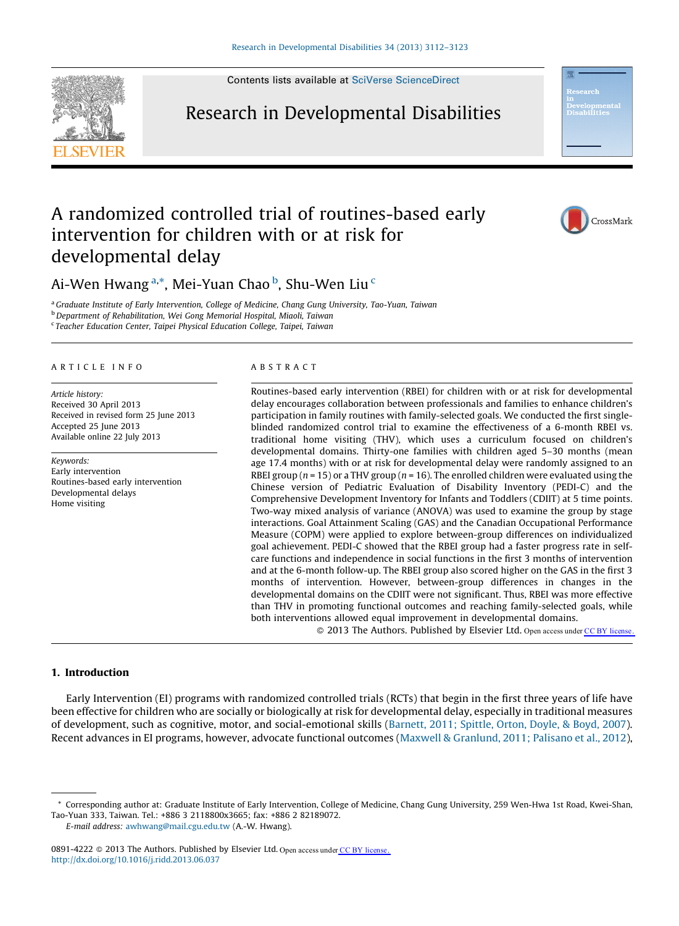

Contents lists available at SciVerse [ScienceDirect](http://www.sciencedirect.com/science/journal/08914222)

### Research in Developmental Disabilities



CrossMark

## A randomized controlled trial of routines-based early intervention for children with or at risk for developmental delay

Ai-Wen Hwang <sup>a,</sup>\*, Mei-Yuan Chao <sup>b</sup>, Shu-Wen Liu <sup>c</sup>

<sup>a</sup> Graduate Institute of Early Intervention, College of Medicine, Chang Gung University, Tao-Yuan, Taiwan b Department of Rehabilitation, Wei Gong Memorial Hospital, Miaoli, Taiwan <sup>c</sup> Teacher Education Center, Taipei Physical Education College, Taipei, Taiwan

#### A R T I C L E I N F O

Article history: Received 30 April 2013 Received in revised form 25 June 2013 Accepted 25 June 2013 Available online 22 July 2013

Keywords: Early intervention Routines-based early intervention Developmental delays Home visiting

#### A B S T R A C T

Routines-based early intervention (RBEI) for children with or at risk for developmental delay encourages collaboration between professionals and families to enhance children's participation in family routines with family-selected goals. We conducted the first singleblinded randomized control trial to examine the effectiveness of a 6-month RBEI vs. traditional home visiting (THV), which uses a curriculum focused on children's developmental domains. Thirty-one families with children aged 5–30 months (mean age 17.4 months) with or at risk for developmental delay were randomly assigned to an RBEI group ( $n = 15$ ) or a THV group ( $n = 16$ ). The enrolled children were evaluated using the Chinese version of Pediatric Evaluation of Disability Inventory (PEDI-C) and the Comprehensive Development Inventory for Infants and Toddlers (CDIIT) at 5 time points. Two-way mixed analysis of variance (ANOVA) was used to examine the group by stage interactions. Goal Attainment Scaling (GAS) and the Canadian Occupational Performance Measure (COPM) were applied to explore between-group differences on individualized goal achievement. PEDI-C showed that the RBEI group had a faster progress rate in selfcare functions and independence in social functions in the first 3 months of intervention and at the 6-month follow-up. The RBEI group also scored higher on the GAS in the first 3 months of intervention. However, between-group differences in changes in the developmental domains on the CDIIT were not significant. Thus, RBEI was more effective than THV in promoting functional outcomes and reaching family-selected goals, while both interventions allowed equal improvement in developmental domains.

© 2013 The Authors. Published by Elsevier Ltd. Open access under [CC BY license.](http://creativecommons.org/licenses/by/3.0/)

#### 1. Introduction

Early Intervention (EI) programs with randomized controlled trials (RCTs) that begin in the first three years of life have been effective for children who are socially or biologically at risk for developmental delay, especially in traditional measures of development, such as cognitive, motor, and social-emotional skills ([Barnett,](#page--1-0) 2011; Spittle, Orton, Doyle, & Boyd, 2007). Recent advances in EI programs, however, advocate functional outcomes (Maxwell & [Granlund,](#page--1-0) 2011; Palisano et al., 2012),

<sup>\*</sup> Corresponding author at: Graduate Institute of Early Intervention, College of Medicine, Chang Gung University, 259 Wen-Hwa 1st Road, Kwei-Shan, Tao-Yuan 333, Taiwan. Tel.: +886 3 2118800x3665; fax: +886 2 82189072. E-mail address: [awhwang@mail.cgu.edu.tw](mailto:awhwang@mail.cgu.edu.tw) (A.-W. Hwang).

<sup>0891-4222</sup>  $\circ$  2013 The Authors. Published by Elsevier Ltd. Open access unde[r CC BY license.](http://creativecommons.org/licenses/by/3.0/) <http://dx.doi.org/10.1016/j.ridd.2013.06.037>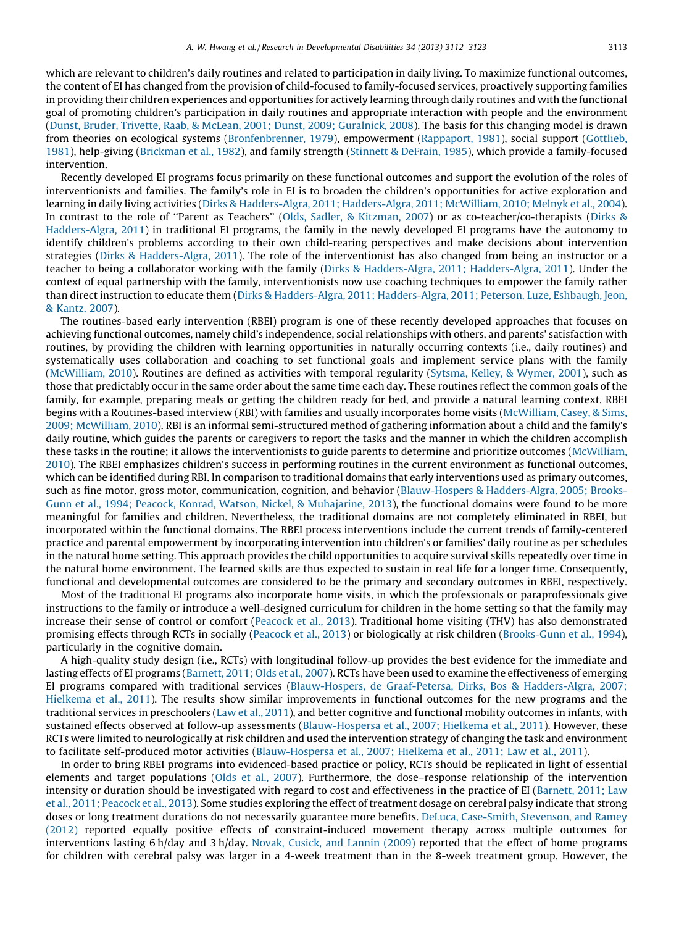which are relevant to children's daily routines and related to participation in daily living. To maximize functional outcomes, the content of EI has changed from the provision of child-focused to family-focused services, proactively supporting families in providing their children experiences and opportunities for actively learning through daily routines and with the functional goal of promoting children's participation in daily routines and appropriate interaction with people and the environment (Dunst, Bruder, Trivette, Raab, & McLean, 2001; Dunst, 2009; [Guralnick,](#page--1-0) 2008). The basis for this changing model is drawn from theories on ecological systems ([Bronfenbrenner,](#page--1-0) 1979), empowerment ([Rappaport,](#page--1-0) 1981), social support [\(Gottlieb,](#page--1-0) [1981](#page--1-0)), help-giving [\(Brickman](#page--1-0) et al., 1982), and family strength (Stinnett & [DeFrain,](#page--1-0) 1985), which provide a family-focused intervention.

Recently developed EI programs focus primarily on these functional outcomes and support the evolution of the roles of interventionists and families. The family's role in EI is to broaden the children's opportunities for active exploration and learning in daily living activities (Dirks & [Hadders-Algra,](#page--1-0) 2011; Hadders-Algra, 2011; McWilliam, 2010; Melnyk et al., 2004). In contrast to the role of "Parent as Teachers" (Olds, Sadler, & [Kitzman,](#page--1-0) 2007) or as co-teacher/co-therapists ([Dirks](#page--1-0) & [Hadders-Algra,](#page--1-0) 2011) in traditional EI programs, the family in the newly developed EI programs have the autonomy to identify children's problems according to their own child-rearing perspectives and make decisions about intervention strategies (Dirks & [Hadders-Algra,](#page--1-0) 2011). The role of the interventionist has also changed from being an instructor or a teacher to being a collaborator working with the family (Dirks & [Hadders-Algra,](#page--1-0) 2011; Hadders-Algra, 2011). Under the context of equal partnership with the family, interventionists now use coaching techniques to empower the family rather than direct instruction to educate them (Dirks & [Hadders-Algra,](#page--1-0) 2011; Hadders-Algra, 2011; Peterson, Luze, Eshbaugh, Jeon, & [Kantz,](#page--1-0) 2007).

The routines-based early intervention (RBEI) program is one of these recently developed approaches that focuses on achieving functional outcomes, namely child's independence, social relationships with others, and parents' satisfaction with routines, by providing the children with learning opportunities in naturally occurring contexts (i.e., daily routines) and systematically uses collaboration and coaching to set functional goals and implement service plans with the family ([McWilliam,](#page--1-0) 2010). Routines are defined as activities with temporal regularity (Sytsma, Kelley, & [Wymer,](#page--1-0) 2001), such as those that predictably occur in the same order about the same time each day. These routines reflect the common goals of the family, for example, preparing meals or getting the children ready for bed, and provide a natural learning context. RBEI begins with a Routines-based interview (RBI) with families and usually incorporates home visits ([McWilliam,](#page--1-0) Casey, & Sims, 2009; [McWilliam,](#page--1-0) 2010). RBI is an informal semi-structured method of gathering information about a child and the family's daily routine, which guides the parents or caregivers to report the tasks and the manner in which the children accomplish these tasks in the routine; it allows the interventionists to guide parents to determine and prioritize outcomes ([McWilliam,](#page--1-0) [2010](#page--1-0)). The RBEI emphasizes children's success in performing routines in the current environment as functional outcomes, which can be identified during RBI. In comparison to traditional domains that early interventions used as primary outcomes, such as fine motor, gross motor, communication, cognition, and behavior [\(Blauw-Hospers](#page--1-0) & Hadders-Algra, 2005; Brooks-Gunn et al., 1994; Peacock, Konrad, Watson, Nickel, & [Muhajarine,](#page--1-0) 2013), the functional domains were found to be more meaningful for families and children. Nevertheless, the traditional domains are not completely eliminated in RBEI, but incorporated within the functional domains. The RBEI process interventions include the current trends of family-centered practice and parental empowerment by incorporating intervention into children's or families' daily routine as per schedules in the natural home setting. This approach provides the child opportunities to acquire survival skills repeatedly over time in the natural home environment. The learned skills are thus expected to sustain in real life for a longer time. Consequently, functional and developmental outcomes are considered to be the primary and secondary outcomes in RBEI, respectively.

Most of the traditional EI programs also incorporate home visits, in which the professionals or paraprofessionals give instructions to the family or introduce a well-designed curriculum for children in the home setting so that the family may increase their sense of control or comfort ([Peacock](#page--1-0) et al., 2013). Traditional home visiting (THV) has also demonstrated promising effects through RCTs in socially [\(Peacock](#page--1-0) et al., 2013) or biologically at risk children [\(Brooks-Gunn](#page--1-0) et al., 1994), particularly in the cognitive domain.

A high-quality study design (i.e., RCTs) with longitudinal follow-up provides the best evidence for the immediate and lasting effects of EI programs [\(Barnett,](#page--1-0) 2011; Olds et al., 2007). RCTs have been used to examine the effectiveness of emerging EI programs compared with traditional services [\(Blauw-Hospers,](#page--1-0) de Graaf-Petersa, Dirks, Bos & Hadders-Algra, 2007; [Hielkema](#page--1-0) et al., 2011). The results show similar improvements in functional outcomes for the new programs and the traditional services in preschoolers (Law et al., [2011\)](#page--1-0), and better cognitive and functional mobility outcomes in infants, with sustained effects observed at follow-up assessments ([Blauw-Hospersa](#page--1-0) et al., 2007; Hielkema et al., 2011). However, these RCTs were limited to neurologically at risk children and used the intervention strategy of changing the task and environment to facilitate self-produced motor activities ([Blauw-Hospersa](#page--1-0) et al., 2007; Hielkema et al., 2011; Law et al., 2011).

In order to bring RBEI programs into evidenced-based practice or policy, RCTs should be replicated in light of essential elements and target populations (Olds et al., [2007\)](#page--1-0). Furthermore, the dose–response relationship of the intervention intensity or duration should be investigated with regard to cost and effectiveness in the practice of EI ([Barnett,](#page--1-0) 2011; Law et al., 2011; [Peacock](#page--1-0) et al., 2013). Some studies exploring the effect of treatment dosage on cerebral palsy indicate that strong doses or long treatment durations do not necessarily guarantee more benefits. DeLuca, [Case-Smith,](#page--1-0) Stevenson, and Ramey [\(2012\)](#page--1-0) reported equally positive effects of constraint-induced movement therapy across multiple outcomes for interventions lasting 6 h/day and 3 h/day. Novak, [Cusick,](#page--1-0) and Lannin (2009) reported that the effect of home programs for children with cerebral palsy was larger in a 4-week treatment than in the 8-week treatment group. However, the